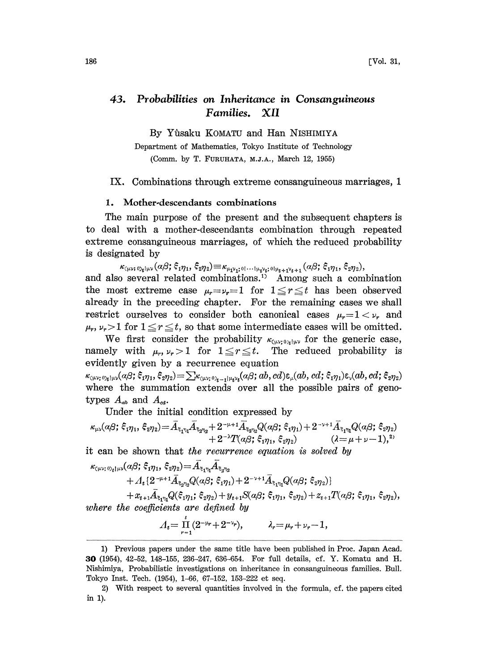#### 43. Probabilities on Inheritance in Consanguineous Families. XII

By Yfisaku KOMATU and Han NISHIMIYA

Department of Mathematics, Tokyo Institute of Technology (Comm. by T. FURUHATA, M.J.A., March 12, 1955)

### IX. Combinations through extreme consanguineous marriages, 1

### 1. Mother-descendants combinations

The main purpose of the present and the subsequent chapters is to deal with a mother-descendants combination through repeated extreme consanguineous marriages, of which the reduced probability is designated by

 $\kappa_{\langle\mu\nu\rangle,0\rangle_{\mathfrak{b}}|\mu\nu}(\alpha\beta;\xi_1\eta_1,\xi_2\eta_2) \equiv \kappa_{\mu_1\nu_1,0|...|\mu_\nu\nu_\mathfrak{b};0|\mu_{\mathfrak{b}+1}\nu_{\mathfrak{b}+1}}(\alpha\beta;\xi_1\eta_1,\xi_2\eta_2),$ <br>and also several related combinations.<sup>11</sup> Among such a combination the most extreme case  $\mu_r = \nu_r = 1$  for  $1 \le r \le t$  has been observed already in the preceding chapter. For the remaining cases we shall restrict ourselves to consider both canonical cases  $\mu_r = 1 < \nu_r$ , and  $\mu_r$ ,  $\nu_r > 1$  for  $1 \le r \le t$ , so that some intermediate cases will be omitted.

We first consider the probability  $\kappa_{\text{c}_{\mu\nu};\nu_{\nu}|\mu\nu}$  for the generic case, namely with  $\mu_r, \nu_r > 1$  for  $1 \leq r \leq t$ . The reduced probability is evidently given by a recurrence equation

 $\langle \kappa_{\mu\nu;\,0}\rangle_{\mathfrak{g}}|_{\mu\nu}(\alpha\beta;\xi_1\eta_1,\xi_2\eta_2) = \sum \kappa_{\mu\nu;\,0}\rangle_{\mathfrak{e}_{-1}|_{\mu_1\nu_2}}(\alpha\beta;ab,cd)\epsilon_{\mu}(ab,cd;\xi_1\eta_1)\epsilon_{\nu}(ab,cd;\xi_2\eta_2)$ where the summation extends over all the possible pairs of genotypes  $A_{ab}$  and  $A_{cd}$ .

Under the initial condition expressed by

$$
\kappa_{\mu\nu}(\alpha\beta;\,\xi_1\eta_1,\,\xi_2\eta_2)\!=\!\bar A_{\xi_1\eta_1}\bar A_{\xi_2\eta_2}\!+\!2^{-\mu+1}\bar A_{\xi_3\eta_2}Q(\alpha\beta;\,\xi_1\eta_1)\!+\!2^{-\nu+1}\bar A_{\xi_1\eta_1}Q(\alpha\beta;\,\xi_2\eta_2)\qquad\qquad\\ \left. +2^{-\lambda}T(\alpha\beta;\,\xi_1\eta_1,\,\xi_2\eta_2)\right.\qquad\qquad (\lambda\!=\!\mu\!+\!\nu\!-\!1),^2
$$

it can be shown that the recurrence equation is solved by

 $\begin{split} \kappa_{\text{\tiny{C\mu\nu};\,0}}{}_{\gamma_t|\mu\nu} (a\beta;\,\xi_1\eta_1,\,\xi_2\eta_2) & =\bar{A}_{\bar{\xi}_1\eta_1}\bar{A}_{\bar{\xi}_2\eta_2} \ &\quad +A_t\{2^{-\mu+1}\bar{A}_{\bar{\xi}_2\eta_2}Q(a\beta;\,\xi_1\eta_1)+2^{-\nu+1}\bar{A}_{\bar{\xi}_1\eta_1}Q(a\beta;\,\xi_2\eta_2)\}, \end{split}$  $+x_{t+1}\tilde{A}_{\xi_1\eta_1}Q(\xi_1\eta_1;\xi_2\eta_2)+y_{t+1}S(a\beta;\xi_1\eta_1,\xi_2\eta_2)+z_{t+1}T(a\beta;\xi_1\eta_1,\xi_2\eta_2),$ 

where the coefficients are defined by

$$
\Lambda_t = \prod_{r=1}^t (2^{-\mu_r} + 2^{-\nu_r}), \qquad \lambda_r = \mu_r + \nu_r - 1,
$$

<sup>1)</sup> Previous papers under the same title have been published in Proc. Japan Acad. 30 (1954), 42-52, 148-155, 236-247, 636-654. For full details, cf. Y. Komatu and I-I. Nishimiya, Probabilistic investigations on inheritance in consanguineous families. Bull. Tokyo Inst. Tech. (1954), 1-66, 67-152, 153-222 et seq.

<sup>2)</sup> With respect to several quantities involved in the formula, cf. the papers cited in 1).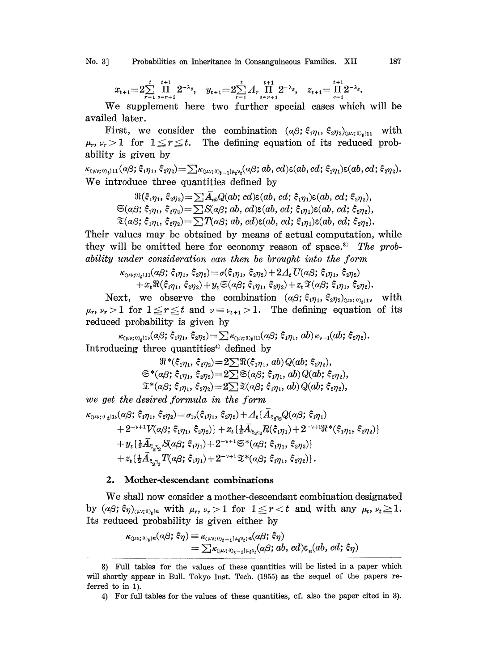No. 3] Probabilities on Inheritance in Consanguineous Families. XII 187

$$
x_{t+1} = 2 \sum_{r=1}^{t} \prod_{s=r+1}^{t+1} 2^{-\lambda_{s}}, \quad y_{t+1} = 2 \sum_{r=1}^{t} A_{r} \prod_{s=r+1}^{t+1} 2^{-\lambda_{s}}, \quad z_{t+1} = \prod_{s=1}^{t+1} 2^{-\lambda_{s}}.
$$

We supplement here two further special cases which will be availed later.

First, we consider the combination  $(a\beta; \xi_1\eta_1, \xi_2\eta_2)_{(\mu\nu;\theta_1|11]}$  with  $\mu_r, \nu_r > 1$  for  $1 \leq r \leq t$ . The defining equation of its reduced probability is given by

 $\kappa_{\text{(uv; 0)}_{t}111}(a\beta;\xi_{1}\eta_{1},\xi_{2}\eta_{2})=\sum \kappa_{\text{(uv; 0)}_{t-1}1\mu_{t}\nu_{t}}(a\beta;ab,cd)\epsilon(ab,cd;\xi_{1}\eta_{1})\epsilon(ab,cd;\xi_{2}\eta_{2}).$ We introduce three quantities defined by

> $\Re(\xi_{1\eta_1},\xi_{2\eta_2})=\sum \bar{A}_{ab}Q(ab; cd)\epsilon(ab, cd;\xi_{1\eta_1})\epsilon(ab, cd;\xi_{2\eta_2}),$  $\mathfrak{S}(\alpha\beta;\xi_1\eta_1,\xi_2\eta_2) = \sum S(\alpha\beta;\,ab,\,cd) \epsilon(ab,\,cd;\xi_1\eta_1) \epsilon(ab,\,cd;\xi_2\eta_2),$  $\mathfrak{T}(a\beta;\xi_1\eta_1,\xi_2\eta_2) = \sum T(\alpha\beta;\,ab,\,cd) \epsilon(ab,\,cd;\xi_1\eta_1) \epsilon(ab,\,cd;\xi_2\eta_2).$

Their values may be obtained by means of actual computation, while they will be omitted here for economy reason of space.<sup>3)</sup> The probability under consideration can then be brought into the form

$$
\kappa_{\scriptscriptstyle(\mu\nu;\scriptscriptstyle 0),\scriptscriptstyle\ell^{\scriptscriptstyle 111}}(\alpha\beta;\,\xi_{1\eta_1},\,\xi_{2\eta_2})\!=\!\sigma(\xi_{1\eta_1},\,\xi_{2\eta_2})\!+\!2\varLambda_t\,U(\alpha\beta;\,\xi_{1\eta_1},\,\xi_{2\eta_2})\\+\,x_t\,\Re(\xi_{1\eta_1},\,\xi_{2\eta_2})\!+\!y_t\,\mathfrak{S}(\alpha\beta;\,\xi_{1\eta_1},\,\xi_{2\eta_2})\!+\!z_t\,\mathfrak{X}(\alpha\beta;\,\xi_{1\eta_1},\,\xi_{2\eta_2}).
$$

Next, we observe the combination  $(a\beta; \xi_1\eta_1, \xi_2\eta_2)_{(\mu\nu;\theta),\mu_1\nu}$  with  $\mu_r$ ,  $\nu_r > 1$  for  $1 \le r \le t$  and  $\nu = \nu_{t+1} > 1$ . The defining equation of its reduced probability is given by

 $\kappa_{\text{\tiny{(}\mu\nu;\,0)}}(a\beta;\,\xi_{1\eta_1},\,\xi_{2\eta_2}) = \sum \kappa_{\text{\tiny{(}\mu\nu;\,0)}}_{t\text{11}}(a\beta;\,\xi_{1\eta_1},\,ab)\,\kappa_{\text{\tiny{$\nu$}}-1}(ab;\,\xi_{2\eta_2}).$ Introducing three quantities<sup>4</sup> defined by

$$
\mathbb{R}^*(\xi_{1\eta_1}, \xi_{2\eta_2}) = 2 \sum \mathbb{R}(\xi_{1\eta_1}, ab) Q(ab; \xi_{2\eta_2}),
$$
  

$$
\mathfrak{S}^*(a\beta; \xi_{1\eta_1}, \xi_{2\eta_2}) = 2 \sum \mathfrak{S}(a\beta; \xi_{1\eta_1}, ab) Q(ab; \xi_{2\eta_2}),
$$
  

$$
\mathfrak{T}^*(a\beta; \xi_{1\eta_1}, \xi_{2\eta_2}) = 2 \sum \mathbb{I}(a\beta; \xi_{1\eta_1}, ab) Q(ab; \xi_{2\eta_2}),
$$

we get the desired formula in the form

$$
\begin{aligned} \kappa_{\text{\tiny{(}\mu \nu;\,0}}\,{}_{\mathbf{t}}\,{}_{11\nu}(\alpha\beta;\,\xi_1\eta_1,\,\xi_2\eta_2) & = \sigma_{1\nu}(\xi_1\eta_1,\,\xi_2\eta_2) + A_t \{A_{\xi_2\eta_2}Q(\alpha\beta;\,\xi_1\eta_1) \\ & + 2^{-\nu+1}V(\alpha\beta;\,\xi_1\eta_1,\,\xi_2\eta_2)\} + x_t \{\tfrac{1}{2}\bar{A}_{\xi_2\eta_2}R(\xi_1\eta_1) + 2^{-\nu+1}\Re^*(\xi_1\eta_1,\,\xi_2\eta_2)\} \\ & + y_t \{\tfrac{1}{2}\bar{A}_{\xi_2\eta_2}S(\alpha\beta;\,\xi_1\eta_1) + 2^{-\nu+1}\mathfrak{S}^*(\alpha\beta;\,\xi_1\eta_1,\,\xi_2\eta_2)\} \\ & + z_t \{\tfrac{1}{2}\bar{A}_{\xi_2\eta_2}T(\alpha\beta;\,\xi_1\eta_1) + 2^{-\nu+1}\mathfrak{X}^*(\alpha\beta;\,\xi_1\eta_1,\,\xi_2\eta_2)\} \, . \end{aligned}
$$

# 2. Mother-descendant combinations

We shall now consider <sup>a</sup> mother-descendant combination designated by  $(\alpha \beta; \xi \eta)_{\langle \mu\nu; \nu \rangle_{t} \vert n}$  with  $\mu_r, \nu_r > 1$  for  $1 \leq r < t$  and with any  $\mu_t, \nu_t \geq 1$ . Its reduced probability is given either by

$$
\kappa_{\text{Cov};0}_{\text{Cov};0}(\alpha\beta;\xi\eta) \equiv \kappa_{\text{Cov};0}_{\text{Cov};0}(\alpha\beta;\xi\eta) = \sum \kappa_{\text{Cov};0}_{\text{Cov};0}(\alpha\beta;\alpha b,\alpha) \epsilon_n(\alpha b,\alpha';\xi\eta)
$$

<sup>3)</sup> Full tables for the values of these quantities will be listed in a paper which will shortly appear in Bull. Tokyo Inst. Tech. (1955) as the sequel of the papers referred to in 1).

<sup>4)</sup> For full tables for the values of these quantities, cf. also the paper cited in 3).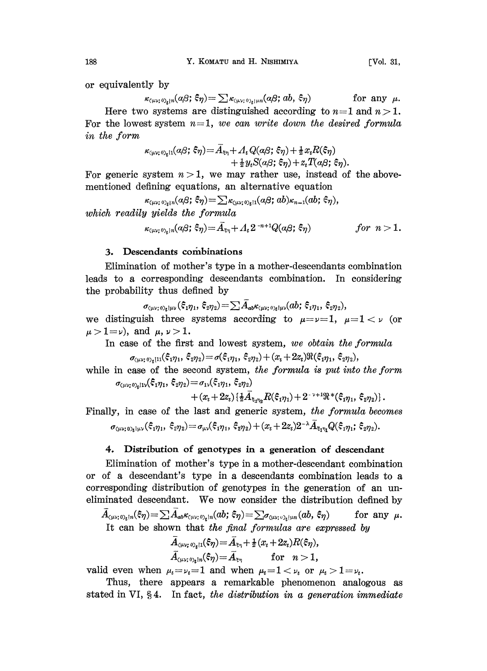or equivalently by

$$
\kappa_{\langle\mu\nu;\,\vartheta\rangle_{\xi}|\eta}(a\beta;\,\xi\eta) = \sum \kappa_{\langle\mu\nu;\,\vartheta\rangle_{\xi}|\mu\eta}(a\beta;\,ab,\,\xi\eta) \quad \text{for any }\mu.
$$

Here two systems are distinguished according to  $n=1$  and  $n>1$ . For the lowest system  $n=1$ , we can write down the desired formula in the form

$$
\begin{aligned} \kappa_{\scriptscriptstyle(\mu\nu;\,0)_t 1 1}(\alpha\beta;\,\xi\eta) \! &\!= \! \bar{A}_{\scriptscriptstyle \xi\eta} \!+\! A_t Q(\alpha\beta;\,\xi\eta) \!+\! \tfrac{1}{2} x_t R(\xi\eta) \\ &\! + \tfrac{1}{2} y_t S(\alpha\beta;\,\xi\eta) \!+\! z_t T(\alpha\beta;\,\xi\eta). \end{aligned}
$$

For generic system  $n > 1$ , we may rather use, instead of the abovementioned defining equations, an alternative equation

 $\kappa_{(\mu\nu;\;0)_t|n}(a\beta;\;\xi\eta) = \sum \kappa_{(\mu\nu;\;0)_t|1}(a\beta;\;ab)\kappa_{n-1}(ab;\;\xi\eta),$ which readily yields the formula

$$
\kappa_{(\mu\nu;\,\mathfrak{D}_k)n}(\alpha\beta;\,\xi\eta) = \bar{A}_{\xi\eta} + A_t 2^{-n+1}Q(\alpha\beta;\,\xi\eta) \qquad \qquad for \ \ n>1.
$$

# 3. Descendants combinations

Elimination of mother's type in a mother-descendants combination leads to a corresponding descendants combination. In considering the probability thus defined by

 $\sigma_{\langle \mu\nu;\,\delta_k | \mu\nu}(\xi_1 \eta_1, \xi_2 \eta_2) = \sum A_{ab} \kappa_{\langle \mu\nu;\,\delta_k | \mu\nu} (ab; \xi_1 \eta_1, \xi_2 \eta_2),$ <br>we distinguish three systems according to  $\mu = \nu = 1$ ,  $\mu = 1 < \nu$  (or  $\mu > 1 = \nu$ ), and  $\mu, \nu > 1$ .

In case of the first and lowest system, we obtain the formula

$$
\sigma_{\left(\mu\nu;\,0\right)_t[11]}(\xi_1\eta_1,\,\xi_2\eta_2)\!=\!\sigma(\xi_1\eta_1,\,\xi_2\eta_2)\!+\!(x_t+2z_t)\Re(\xi_1\eta_1,\,\xi_2\eta_2),
$$

while in case of the second system, the formula is put into the form  $\sigma_{(\mu\nu;\,0),i1\nu}(\xi_1\eta_1,\,\xi_2\eta_2)\!=\!\sigma_{1\nu}(\xi_1\eta_1,\,\xi_2\eta_2)$ 

 $+(x_t+2z_t)\{\frac{1}{2}\bar{A}_{\xi,\eta_0}R(\xi_1\eta_1)+2^{-\nu+1}\Re^*(\xi_1\eta_1,\xi_2\eta_2)\}.$ 

Finally, in case of the last and generic system, the formula becomes  $\sigma_{(uv_1\eta_1,1_1)}(\xi_1\eta_1,\xi_2\eta_2) = \sigma_{uv}(\xi_1\eta_1,\xi_2\eta_2) + (x_t+2z_t)2^{-\lambda}\bar{A}_{\xi_1\eta_1}Q(\xi_1\eta_1,\xi_2\eta_2).$ 

#### 4. Distribution of genotypes in a generation of descendant

Elimination of mother's type in a mother-descendant combination or of a descendant's type in a descendants combination leads to a corresponding distribution of genotypes in the generation of an uneliminated descendant. We now consider the distribution defined by

 $A_{\scriptscriptstyle(\mu\nu;\,0)_t\restriction n}(\varepsilon_\eta) {=}\sum A_{ab}\kappa_{\scriptscriptstyle(\mu\nu;\,0)_t\restriction n}(ab;\,\varepsilon_\eta) {=}\sum_{\sigma_{\scriptscriptstyle(\mu\nu;\,0)_t\restriction\nu n}}(ab;\,\varepsilon_\eta)$ for any  $\mu$ . It can be shown that the final formulas are expressed by

$$
\begin{array}{ll} \bar{A}_{\scriptscriptstyle ( \mu \nu; \, \mathfrak{O}_t | 1 }(\widehat{ \boldsymbol{ s}} \eta) \! = \! \bar{A}_{\scriptscriptstyle \frac{\nu}{\nu_\eta}} \! + \! \frac{1}{2} (x_t \! + \! 2z_t) R(\widehat{ \boldsymbol{ s}} \eta), \\ \bar{A}_{\scriptscriptstyle ( \mu \nu; \, \mathfrak{O}_t | n}(\widehat{ \boldsymbol{ s}} \eta) \! = \! \bar{A}_{\scriptscriptstyle \frac{\nu}{\nu_\eta}} \qquad \text{for} \quad n \! > \! 1, \end{array}
$$

valid even when  $\mu_t = \nu_t = 1$  and when  $\mu_t = 1 < \nu_t$  or  $\mu_t > 1 = \nu_t$ .

Thus, there appears a remarkable phenomenon analogous as stated in VI,  $\S 4$ . In fact, the distribution in a generation immediate